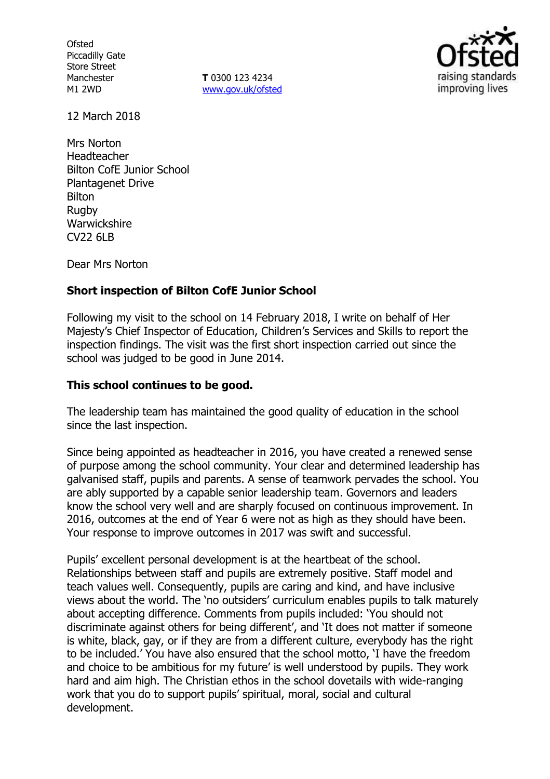**Ofsted** Piccadilly Gate Store Street Manchester M1 2WD

**T** 0300 123 4234 www.gov.uk/ofsted



12 March 2018

Mrs Norton Headteacher Bilton CofE Junior School Plantagenet Drive Bilton Rugby Warwickshire CV22 6LB

Dear Mrs Norton

# **Short inspection of Bilton CofE Junior School**

Following my visit to the school on 14 February 2018, I write on behalf of Her Majesty's Chief Inspector of Education, Children's Services and Skills to report the inspection findings. The visit was the first short inspection carried out since the school was judged to be good in June 2014.

### **This school continues to be good.**

The leadership team has maintained the good quality of education in the school since the last inspection.

Since being appointed as headteacher in 2016, you have created a renewed sense of purpose among the school community. Your clear and determined leadership has galvanised staff, pupils and parents. A sense of teamwork pervades the school. You are ably supported by a capable senior leadership team. Governors and leaders know the school very well and are sharply focused on continuous improvement. In 2016, outcomes at the end of Year 6 were not as high as they should have been. Your response to improve outcomes in 2017 was swift and successful.

Pupils' excellent personal development is at the heartbeat of the school. Relationships between staff and pupils are extremely positive. Staff model and teach values well. Consequently, pupils are caring and kind, and have inclusive views about the world. The 'no outsiders' curriculum enables pupils to talk maturely about accepting difference. Comments from pupils included: 'You should not discriminate against others for being different', and 'It does not matter if someone is white, black, gay, or if they are from a different culture, everybody has the right to be included.' You have also ensured that the school motto, 'I have the freedom and choice to be ambitious for my future' is well understood by pupils. They work hard and aim high. The Christian ethos in the school dovetails with wide-ranging work that you do to support pupils' spiritual, moral, social and cultural development.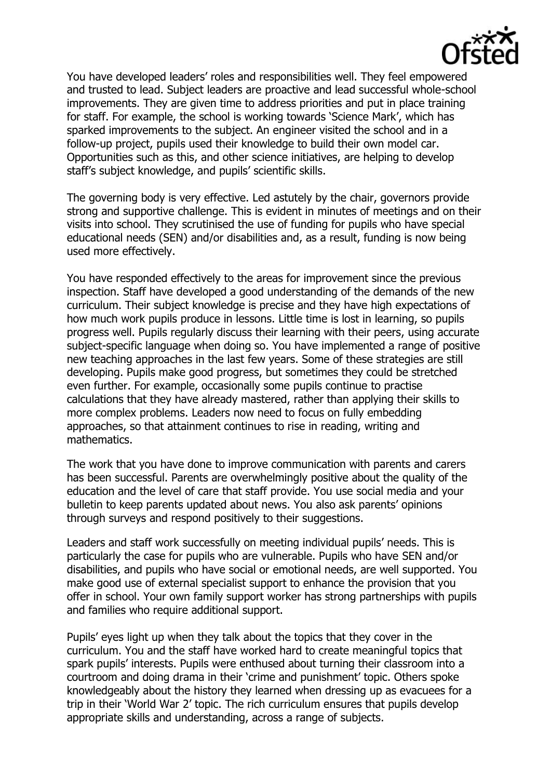

You have developed leaders' roles and responsibilities well. They feel empowered and trusted to lead. Subject leaders are proactive and lead successful whole-school improvements. They are given time to address priorities and put in place training for staff. For example, the school is working towards 'Science Mark', which has sparked improvements to the subject. An engineer visited the school and in a follow-up project, pupils used their knowledge to build their own model car. Opportunities such as this, and other science initiatives, are helping to develop staff's subject knowledge, and pupils' scientific skills.

The governing body is very effective. Led astutely by the chair, governors provide strong and supportive challenge. This is evident in minutes of meetings and on their visits into school. They scrutinised the use of funding for pupils who have special educational needs (SEN) and/or disabilities and, as a result, funding is now being used more effectively.

You have responded effectively to the areas for improvement since the previous inspection. Staff have developed a good understanding of the demands of the new curriculum. Their subject knowledge is precise and they have high expectations of how much work pupils produce in lessons. Little time is lost in learning, so pupils progress well. Pupils regularly discuss their learning with their peers, using accurate subject-specific language when doing so. You have implemented a range of positive new teaching approaches in the last few years. Some of these strategies are still developing. Pupils make good progress, but sometimes they could be stretched even further. For example, occasionally some pupils continue to practise calculations that they have already mastered, rather than applying their skills to more complex problems. Leaders now need to focus on fully embedding approaches, so that attainment continues to rise in reading, writing and mathematics.

The work that you have done to improve communication with parents and carers has been successful. Parents are overwhelmingly positive about the quality of the education and the level of care that staff provide. You use social media and your bulletin to keep parents updated about news. You also ask parents' opinions through surveys and respond positively to their suggestions.

Leaders and staff work successfully on meeting individual pupils' needs. This is particularly the case for pupils who are vulnerable. Pupils who have SEN and/or disabilities, and pupils who have social or emotional needs, are well supported. You make good use of external specialist support to enhance the provision that you offer in school. Your own family support worker has strong partnerships with pupils and families who require additional support.

Pupils' eyes light up when they talk about the topics that they cover in the curriculum. You and the staff have worked hard to create meaningful topics that spark pupils' interests. Pupils were enthused about turning their classroom into a courtroom and doing drama in their 'crime and punishment' topic. Others spoke knowledgeably about the history they learned when dressing up as evacuees for a trip in their 'World War 2' topic. The rich curriculum ensures that pupils develop appropriate skills and understanding, across a range of subjects.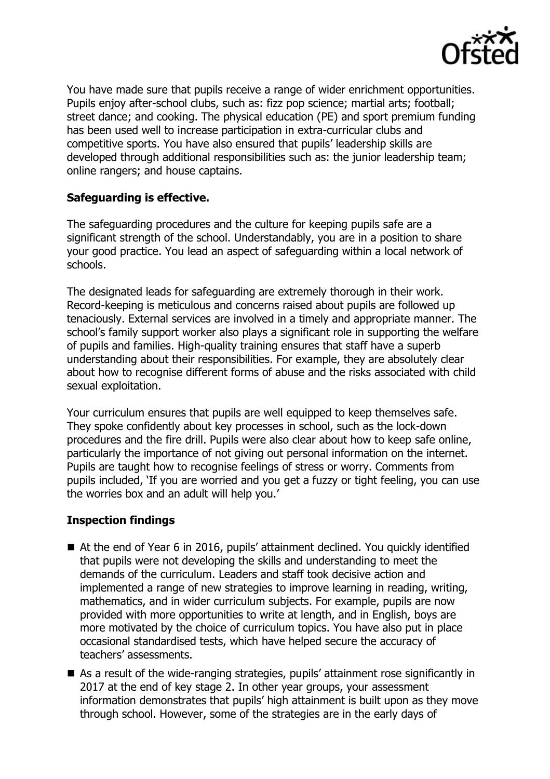

You have made sure that pupils receive a range of wider enrichment opportunities. Pupils enjoy after-school clubs, such as: fizz pop science; martial arts; football; street dance; and cooking. The physical education (PE) and sport premium funding has been used well to increase participation in extra-curricular clubs and competitive sports. You have also ensured that pupils' leadership skills are developed through additional responsibilities such as: the junior leadership team; online rangers; and house captains.

# **Safeguarding is effective.**

The safeguarding procedures and the culture for keeping pupils safe are a significant strength of the school. Understandably, you are in a position to share your good practice. You lead an aspect of safeguarding within a local network of schools.

The designated leads for safeguarding are extremely thorough in their work. Record-keeping is meticulous and concerns raised about pupils are followed up tenaciously. External services are involved in a timely and appropriate manner. The school's family support worker also plays a significant role in supporting the welfare of pupils and families. High-quality training ensures that staff have a superb understanding about their responsibilities. For example, they are absolutely clear about how to recognise different forms of abuse and the risks associated with child sexual exploitation.

Your curriculum ensures that pupils are well equipped to keep themselves safe. They spoke confidently about key processes in school, such as the lock-down procedures and the fire drill. Pupils were also clear about how to keep safe online, particularly the importance of not giving out personal information on the internet. Pupils are taught how to recognise feelings of stress or worry. Comments from pupils included, 'If you are worried and you get a fuzzy or tight feeling, you can use the worries box and an adult will help you.'

### **Inspection findings**

- At the end of Year 6 in 2016, pupils' attainment declined. You quickly identified that pupils were not developing the skills and understanding to meet the demands of the curriculum. Leaders and staff took decisive action and implemented a range of new strategies to improve learning in reading, writing, mathematics, and in wider curriculum subjects. For example, pupils are now provided with more opportunities to write at length, and in English, boys are more motivated by the choice of curriculum topics. You have also put in place occasional standardised tests, which have helped secure the accuracy of teachers' assessments.
- As a result of the wide-ranging strategies, pupils' attainment rose significantly in 2017 at the end of key stage 2. In other year groups, your assessment information demonstrates that pupils' high attainment is built upon as they move through school. However, some of the strategies are in the early days of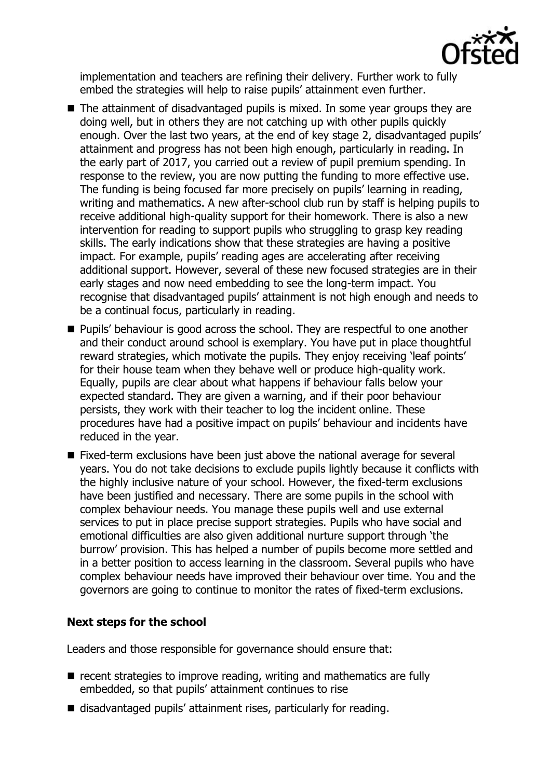

implementation and teachers are refining their delivery. Further work to fully embed the strategies will help to raise pupils' attainment even further.

- The attainment of disadvantaged pupils is mixed. In some year groups they are doing well, but in others they are not catching up with other pupils quickly enough. Over the last two years, at the end of key stage 2, disadvantaged pupils' attainment and progress has not been high enough, particularly in reading. In the early part of 2017, you carried out a review of pupil premium spending. In response to the review, you are now putting the funding to more effective use. The funding is being focused far more precisely on pupils' learning in reading, writing and mathematics. A new after-school club run by staff is helping pupils to receive additional high-quality support for their homework. There is also a new intervention for reading to support pupils who struggling to grasp key reading skills. The early indications show that these strategies are having a positive impact. For example, pupils' reading ages are accelerating after receiving additional support. However, several of these new focused strategies are in their early stages and now need embedding to see the long-term impact. You recognise that disadvantaged pupils' attainment is not high enough and needs to be a continual focus, particularly in reading.
- **Pupils' behaviour is good across the school. They are respectful to one another** and their conduct around school is exemplary. You have put in place thoughtful reward strategies, which motivate the pupils. They enjoy receiving 'leaf points' for their house team when they behave well or produce high-quality work. Equally, pupils are clear about what happens if behaviour falls below your expected standard. They are given a warning, and if their poor behaviour persists, they work with their teacher to log the incident online. These procedures have had a positive impact on pupils' behaviour and incidents have reduced in the year.
- Fixed-term exclusions have been just above the national average for several years. You do not take decisions to exclude pupils lightly because it conflicts with the highly inclusive nature of your school. However, the fixed-term exclusions have been justified and necessary. There are some pupils in the school with complex behaviour needs. You manage these pupils well and use external services to put in place precise support strategies. Pupils who have social and emotional difficulties are also given additional nurture support through 'the burrow' provision. This has helped a number of pupils become more settled and in a better position to access learning in the classroom. Several pupils who have complex behaviour needs have improved their behaviour over time. You and the governors are going to continue to monitor the rates of fixed-term exclusions.

### **Next steps for the school**

Leaders and those responsible for governance should ensure that:

- $\blacksquare$  recent strategies to improve reading, writing and mathematics are fully embedded, so that pupils' attainment continues to rise
- disadvantaged pupils' attainment rises, particularly for reading.